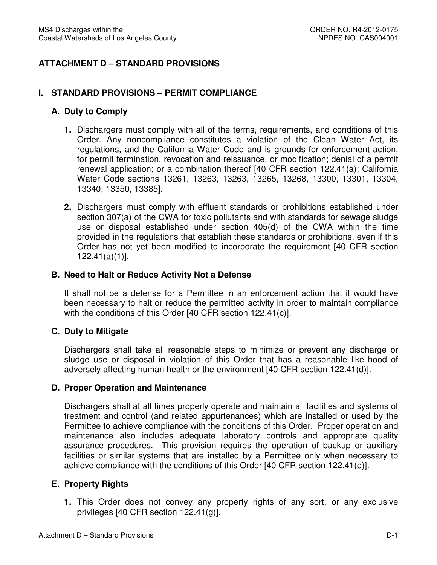# **ATTACHMENT D – STANDARD PROVISIONS**

### **I. STANDARD PROVISIONS – PERMIT COMPLIANCE**

#### **A. Duty to Comply**

- **1.** Dischargers must comply with all of the terms, requirements, and conditions of this Order. Any noncompliance constitutes a violation of the Clean Water Act, its regulations, and the California Water Code and is grounds for enforcement action, for permit termination, revocation and reissuance, or modification; denial of a permit renewal application; or a combination thereof [40 CFR section 122.41(a); California Water Code sections 13261, 13263, 13263, 13265, 13268, 13300, 13301, 13304, 13340, 13350, 13385].
- **2.** Dischargers must comply with effluent standards or prohibitions established under section 307(a) of the CWA for toxic pollutants and with standards for sewage sludge use or disposal established under section 405(d) of the CWA within the time provided in the regulations that establish these standards or prohibitions, even if this Order has not yet been modified to incorporate the requirement [40 CFR section 122.41(a)(1)].

#### **B. Need to Halt or Reduce Activity Not a Defense**

 It shall not be a defense for a Permittee in an enforcement action that it would have been necessary to halt or reduce the permitted activity in order to maintain compliance with the conditions of this Order [40 CFR section 122.41(c)].

#### **C. Duty to Mitigate**

 Dischargers shall take all reasonable steps to minimize or prevent any discharge or sludge use or disposal in violation of this Order that has a reasonable likelihood of adversely affecting human health or the environment [40 CFR section 122.41(d)].

#### **D. Proper Operation and Maintenance**

 Dischargers shall at all times properly operate and maintain all facilities and systems of treatment and control (and related appurtenances) which are installed or used by the Permittee to achieve compliance with the conditions of this Order. Proper operation and maintenance also includes adequate laboratory controls and appropriate quality assurance procedures. This provision requires the operation of backup or auxiliary facilities or similar systems that are installed by a Permittee only when necessary to achieve compliance with the conditions of this Order [40 CFR section 122.41(e)].

### **E. Property Rights**

 **1.** This Order does not convey any property rights of any sort, or any exclusive privileges [40 CFR section 122.41(g)].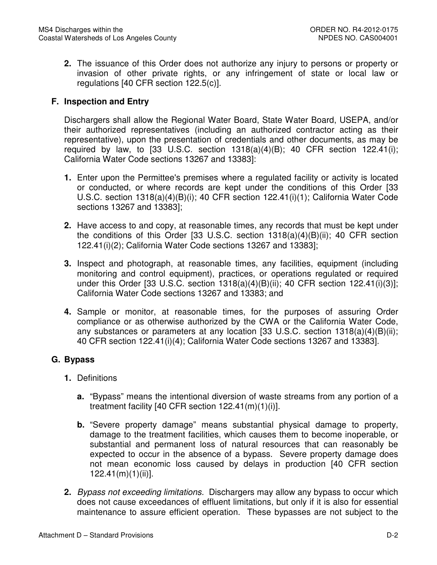**2.** The issuance of this Order does not authorize any injury to persons or property or invasion of other private rights, or any infringement of state or local law or regulations [40 CFR section 122.5(c)].

# **F. Inspection and Entry**

 Dischargers shall allow the Regional Water Board, State Water Board, USEPA, and/or their authorized representatives (including an authorized contractor acting as their representative), upon the presentation of credentials and other documents, as may be required by law, to  $[33 \text{ U.S.C. }$  section  $1318(a)(4)(B)$ ; 40 CFR section  $122.41(i)$ ; California Water Code sections 13267 and 13383]:

- **1.** Enter upon the Permittee's premises where a regulated facility or activity is located or conducted, or where records are kept under the conditions of this Order [33 U.S.C. section 1318(a)(4)(B)(i); 40 CFR section 122.41(i)(1); California Water Code sections 13267 and 13383];
- **2.** Have access to and copy, at reasonable times, any records that must be kept under the conditions of this Order [33 U.S.C. section 1318(a)(4)(B)(ii); 40 CFR section 122.41(i)(2); California Water Code sections 13267 and 13383];
- **3.** Inspect and photograph, at reasonable times, any facilities, equipment (including monitoring and control equipment), practices, or operations regulated or required under this Order [33 U.S.C. section 1318(a)(4)(B)(ii); 40 CFR section 122.41(i)(3)]; California Water Code sections 13267 and 13383; and
- **4.** Sample or monitor, at reasonable times, for the purposes of assuring Order compliance or as otherwise authorized by the CWA or the California Water Code, any substances or parameters at any location [33 U.S.C. section 1318(a)(4)(B)(ii); 40 CFR section 122.41(i)(4); California Water Code sections 13267 and 13383].

# **G. Bypass**

- **1.** Definitions
	- **a.** "Bypass" means the intentional diversion of waste streams from any portion of a treatment facility [40 CFR section 122.41(m)(1)(i)].
	- **b.** "Severe property damage" means substantial physical damage to property, damage to the treatment facilities, which causes them to become inoperable, or substantial and permanent loss of natural resources that can reasonably be expected to occur in the absence of a bypass. Severe property damage does not mean economic loss caused by delays in production [40 CFR section 122.41(m)(1)(ii)].
- **2.** Bypass not exceeding limitations. Dischargers may allow any bypass to occur which does not cause exceedances of effluent limitations, but only if it is also for essential maintenance to assure efficient operation. These bypasses are not subject to the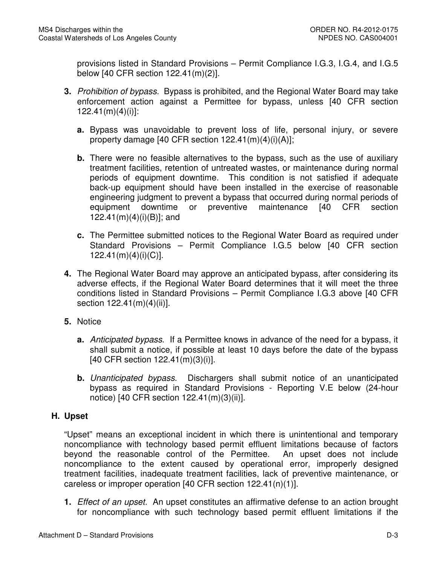provisions listed in Standard Provisions – Permit Compliance I.G.3, I.G.4, and I.G.5 below [40 CFR section 122.41(m)(2)].

- **3.** Prohibition of bypass. Bypass is prohibited, and the Regional Water Board may take enforcement action against a Permittee for bypass, unless [40 CFR section  $122.41(m)(4)(i)$ :
	- **a.** Bypass was unavoidable to prevent loss of life, personal injury, or severe property damage [40 CFR section 122.41(m)(4)(i)(A)];
	- **b.** There were no feasible alternatives to the bypass, such as the use of auxiliary treatment facilities, retention of untreated wastes, or maintenance during normal periods of equipment downtime. This condition is not satisfied if adequate back-up equipment should have been installed in the exercise of reasonable engineering judgment to prevent a bypass that occurred during normal periods of equipment downtime 122.41(m)(4)(i)(B)]; and or preventive maintenance [40 CFR section
	- **c.** The Permittee submitted notices to the Regional Water Board as required under Standard Provisions – Permit Compliance I.G.5 below [40 CFR section 122.41(m)(4)(i)(C)].
- **4.** The Regional Water Board may approve an anticipated bypass, after considering its adverse effects, if the Regional Water Board determines that it will meet the three conditions listed in Standard Provisions – Permit Compliance I.G.3 above [40 CFR section 122.41(m)(4)(ii)].
- **5.** Notice
	- **a.** Anticipated bypass. If a Permittee knows in advance of the need for a bypass, it shall submit a notice, if possible at least 10 days before the date of the bypass [40 CFR section 122.41(m)(3)(i)].
	- **b.** Unanticipated bypass. Dischargers shall submit notice of an unanticipated bypass as required in Standard Provisions - Reporting V.E below (24-hour notice) [40 CFR section 122.41(m)(3)(ii)].

# **H. Upset**

 "Upset" means an exceptional incident in which there is unintentional and temporary noncompliance with technology based permit effluent limitations because of factors beyond the reasonable control of the Permittee. An upset does not include noncompliance to the extent caused by operational error, improperly designed treatment facilities, inadequate treatment facilities, lack of preventive maintenance, or careless or improper operation [40 CFR section 122.41(n)(1)].

 **1.** Effect of an upset. An upset constitutes an affirmative defense to an action brought for noncompliance with such technology based permit effluent limitations if the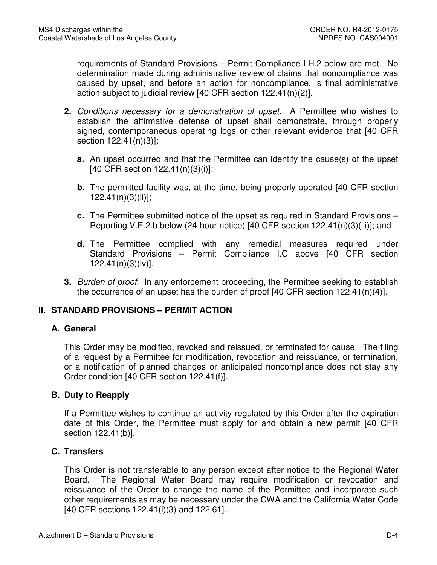requirements of Standard Provisions – Permit Compliance I.H.2 below are met. No determination made during administrative review of claims that noncompliance was caused by upset, and before an action for noncompliance, is final administrative action subject to judicial review [40 CFR section 122.41(n)(2)].

- **2.** Conditions necessary for a demonstration of upset. A Permittee who wishes to establish the affirmative defense of upset shall demonstrate, through properly signed, contemporaneous operating logs or other relevant evidence that [40 CFR section 122.41(n)(3)]:
	- **a.** An upset occurred and that the Permittee can identify the cause(s) of the upset [40 CFR section 122.41(n)(3)(i)];
	- **b.** The permitted facility was, at the time, being properly operated [40 CFR section 122.41(n)(3)(ii)];
	- Reporting V.E.2.b below (24-hour notice) [40 CFR section 122.41(n)(3)(iii)]; and **c.** The Permittee submitted notice of the upset as required in Standard Provisions –
	- **d.** The Permittee complied with any remedial measures required under Standard Provisions – Permit Compliance I.C above [40 CFR section 122.41(n)(3)(iv)].
- **3.** Burden of proof. In any enforcement proceeding, the Permittee seeking to establish the occurrence of an upset has the burden of proof [40 CFR section 122.41(n)(4)].

# **II. STANDARD PROVISIONS – PERMIT ACTION**

### **A. General**

 This Order may be modified, revoked and reissued, or terminated for cause. The filing of a request by a Permittee for modification, revocation and reissuance, or termination, or a notification of planned changes or anticipated noncompliance does not stay any Order condition [40 CFR section 122.41(f)].

### **B. Duty to Reapply**

 If a Permittee wishes to continue an activity regulated by this Order after the expiration date of this Order, the Permittee must apply for and obtain a new permit [40 CFR section 122.41(b)].

### **C. Transfers**

 This Order is not transferable to any person except after notice to the Regional Water Board. The Regional Water Board may require modification or revocation and reissuance of the Order to change the name of the Permittee and incorporate such other requirements as may be necessary under the CWA and the California Water Code [40 CFR sections 122.41(l)(3) and 122.61].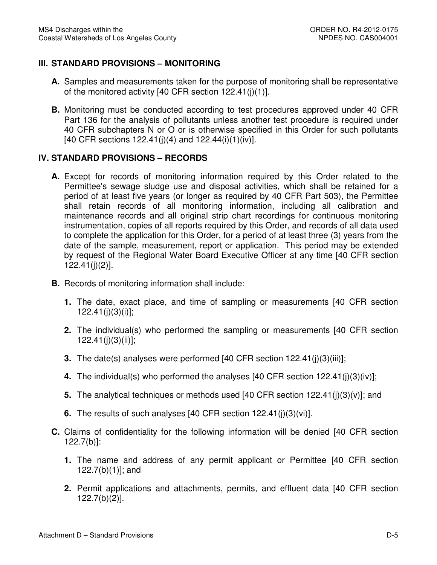# **III. STANDARD PROVISIONS – MONITORING**

- **A.** Samples and measurements taken for the purpose of monitoring shall be representative of the monitored activity [40 CFR section 122.41(j)(1)].
- **B.** Monitoring must be conducted according to test procedures approved under 40 CFR Part 136 for the analysis of pollutants unless another test procedure is required under 40 CFR subchapters N or O or is otherwise specified in this Order for such pollutants [40 CFR sections 122.41(j)(4) and 122.44(i)(1)(iv)].

### **IV. STANDARD PROVISIONS – RECORDS**

- **A.** Except for records of monitoring information required by this Order related to the Permittee's sewage sludge use and disposal activities, which shall be retained for a period of at least five years (or longer as required by 40 CFR Part 503), the Permittee shall retain records of all monitoring information, including all calibration and maintenance records and all original strip chart recordings for continuous monitoring instrumentation, copies of all reports required by this Order, and records of all data used to complete the application for this Order, for a period of at least three (3) years from the date of the sample, measurement, report or application. This period may be extended by request of the Regional Water Board Executive Officer at any time [40 CFR section 122.41(j)(2)].
- **B.** Records of monitoring information shall include:
	- **1.** The date, exact place, and time of sampling or measurements [40 CFR section 122.41(j)(3)(i)];
	- **2.** The individual(s) who performed the sampling or measurements [40 CFR section 122.41(j)(3)(ii)];
	- **3.** The date(s) analyses were performed [40 CFR section 122.41(j)(3)(iii)];
	- **4.** The individual(s) who performed the analyses [40 CFR section 122.41(j)(3)(iv)];
	- **5.** The analytical techniques or methods used [40 CFR section 122.41(j)(3)(v)]; and
	- **6.** The results of such analyses [40 CFR section 122.41(j)(3)(vi)].
- **C.** Claims of confidentiality for the following information will be denied [40 CFR section 122.7(b)]:
	- **1.** The name and address of any permit applicant or Permittee [40 CFR section 122.7(b)(1)]; and
	- **2.** Permit applications and attachments, permits, and effluent data [40 CFR section 122.7(b)(2)].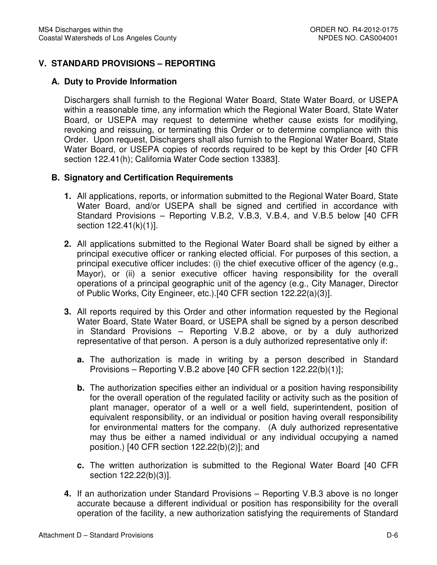# **V. STANDARD PROVISIONS – REPORTING**

## **A. Duty to Provide Information**

 Dischargers shall furnish to the Regional Water Board, State Water Board, or USEPA within a reasonable time, any information which the Regional Water Board, State Water Board, or USEPA may request to determine whether cause exists for modifying, revoking and reissuing, or terminating this Order or to determine compliance with this Order. Upon request, Dischargers shall also furnish to the Regional Water Board, State Water Board, or USEPA copies of records required to be kept by this Order [40 CFR section 122.41(h); California Water Code section 13383].

### **B. Signatory and Certification Requirements**

- **1.** All applications, reports, or information submitted to the Regional Water Board, State Water Board, and/or USEPA shall be signed and certified in accordance with Standard Provisions – Reporting V.B.2, V.B.3, V.B.4, and V.B.5 below [40 CFR section 122.41(k)(1)].
- **2.** All applications submitted to the Regional Water Board shall be signed by either a principal executive officer or ranking elected official. For purposes of this section, a Mayor), or (ii) a senior executive officer having responsibility for the overall operations of a principal geographic unit of the agency (e.g., City Manager, Director of Public Works, City Engineer, etc.).[40 CFR section 122.22(a)(3)]. principal executive officer includes: (i) the chief executive officer of the agency (e.g.,
- **3.** All reports required by this Order and other information requested by the Regional Water Board, State Water Board, or USEPA shall be signed by a person described in Standard Provisions – Reporting V.B.2 above, or by a duly authorized representative of that person. A person is a duly authorized representative only if:
	- **a.** The authorization is made in writing by a person described in Standard Provisions – Reporting V.B.2 above [40 CFR section 122.22(b)(1)];
	- **b.** The authorization specifies either an individual or a position having responsibility for the overall operation of the regulated facility or activity such as the position of plant manager, operator of a well or a well field, superintendent, position of equivalent responsibility, or an individual or position having overall responsibility for environmental matters for the company. (A duly authorized representative may thus be either a named individual or any individual occupying a named position.) [40 CFR section 122.22(b)(2)]; and
	- **c.** The written authorization is submitted to the Regional Water Board [40 CFR section 122.22(b)(3)].
- **4.** If an authorization under Standard Provisions Reporting V.B.3 above is no longer accurate because a different individual or position has responsibility for the overall operation of the facility, a new authorization satisfying the requirements of Standard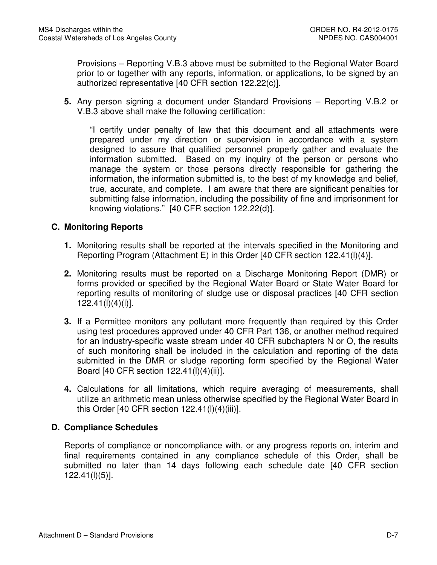Provisions – Reporting V.B.3 above must be submitted to the Regional Water Board prior to or together with any reports, information, or applications, to be signed by an authorized representative [40 CFR section 122.22(c)].

 **5.** Any person signing a document under Standard Provisions – Reporting V.B.2 or V.B.3 above shall make the following certification:

 "I certify under penalty of law that this document and all attachments were prepared under my direction or supervision in accordance with a system designed to assure that qualified personnel properly gather and evaluate the information submitted. Based on my inquiry of the person or persons who manage the system or those persons directly responsible for gathering the information, the information submitted is, to the best of my knowledge and belief, true, accurate, and complete. I am aware that there are significant penalties for submitting false information, including the possibility of fine and imprisonment for knowing violations." [40 CFR section 122.22(d)].

## **C. Monitoring Reports**

- **1.** Monitoring results shall be reported at the intervals specified in the Monitoring and Reporting Program (Attachment E) in this Order [40 CFR section 122.41(l)(4)].
- **2.** Monitoring results must be reported on a Discharge Monitoring Report (DMR) or forms provided or specified by the Regional Water Board or State Water Board for reporting results of monitoring of sludge use or disposal practices [40 CFR section 122.41(l)(4)(i)].
- **3.** If a Permittee monitors any pollutant more frequently than required by this Order using test procedures approved under 40 CFR Part 136, or another method required for an industry-specific waste stream under 40 CFR subchapters N or O, the results of such monitoring shall be included in the calculation and reporting of the data submitted in the DMR or sludge reporting form specified by the Regional Water Board [40 CFR section 122.41(l)(4)(ii)].
- **4.** Calculations for all limitations, which require averaging of measurements, shall utilize an arithmetic mean unless otherwise specified by the Regional Water Board in this Order [40 CFR section 122.41(l)(4)(iii)].

### **D. Compliance Schedules**

 Reports of compliance or noncompliance with, or any progress reports on, interim and final requirements contained in any compliance schedule of this Order, shall be submitted no later than 14 days following each schedule date [40 CFR section 122.41(l)(5)].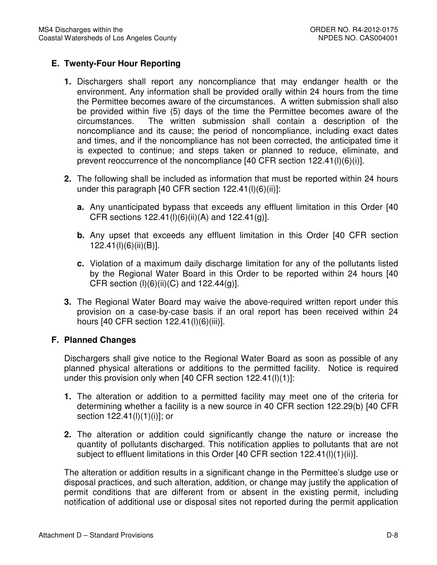# **E. Twenty-Four Hour Reporting**

- **1.** Dischargers shall report any noncompliance that may endanger health or the environment. Any information shall be provided orally within 24 hours from the time the Permittee becomes aware of the circumstances. A written submission shall also be provided within five (5) days of the time the Permittee becomes aware of the circumstances. noncompliance and its cause; the period of noncompliance, including exact dates and times, and if the noncompliance has not been corrected, the anticipated time it is expected to continue; and steps taken or planned to reduce, eliminate, and prevent reoccurrence of the noncompliance [40 CFR section 122.41(l)(6)(i)]. The written submission shall contain a description of the
- **2.** The following shall be included as information that must be reported within 24 hours under this paragraph [40 CFR section 122.41(l)(6)(ii)]:
	- **a.** Any unanticipated bypass that exceeds any effluent limitation in this Order [40 CFR sections 122.41(l)(6)(ii)(A) and 122.41(g)].
	- **b.** Any upset that exceeds any effluent limitation in this Order [40 CFR section 122.41(l)(6)(ii)(B)].
	- **c.** Violation of a maximum daily discharge limitation for any of the pollutants listed by the Regional Water Board in this Order to be reported within 24 hours [40 CFR section (l)(6)(ii)(C) and 122.44(g)].
- **3.** The Regional Water Board may waive the above-required written report under this provision on a case-by-case basis if an oral report has been received within 24 hours [40 CFR section 122.41(l)(6)(iii)].

### **F. Planned Changes**

 Dischargers shall give notice to the Regional Water Board as soon as possible of any planned physical alterations or additions to the permitted facility. Notice is required under this provision only when [40 CFR section 122.41(l)(1)]:

- **1.** The alteration or addition to a permitted facility may meet one of the criteria for determining whether a facility is a new source in 40 CFR section 122.29(b) [40 CFR section 122.41(l)(1)(i)]; or
- **2.** The alteration or addition could significantly change the nature or increase the quantity of pollutants discharged. This notification applies to pollutants that are not subject to effluent limitations in this Order [40 CFR section 122.41(l)(1)(ii)].

 The alteration or addition results in a significant change in the Permittee's sludge use or disposal practices, and such alteration, addition, or change may justify the application of permit conditions that are different from or absent in the existing permit, including notification of additional use or disposal sites not reported during the permit application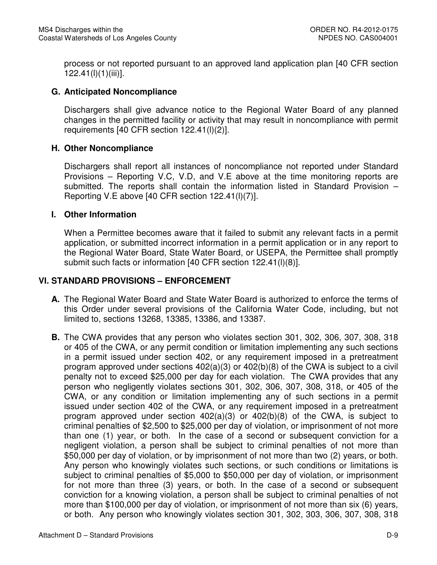process or not reported pursuant to an approved land application plan [40 CFR section 122.41(l)(1)(iii)].

### **G. Anticipated Noncompliance**

 Dischargers shall give advance notice to the Regional Water Board of any planned changes in the permitted facility or activity that may result in noncompliance with permit requirements [40 CFR section 122.41(l)(2)].

## **H. Other Noncompliance**

 Dischargers shall report all instances of noncompliance not reported under Standard Provisions – Reporting V.C, V.D, and V.E above at the time monitoring reports are submitted. The reports shall contain the information listed in Standard Provision – Reporting V.E above [40 CFR section 122.41(l)(7)].

### **I. Other Information**

 When a Permittee becomes aware that it failed to submit any relevant facts in a permit application, or submitted incorrect information in a permit application or in any report to the Regional Water Board, State Water Board, or USEPA, the Permittee shall promptly submit such facts or information [40 CFR section 122.41(l)(8)].

## **VI. STANDARD PROVISIONS – ENFORCEMENT**

- **A.** The Regional Water Board and State Water Board is authorized to enforce the terms of this Order under several provisions of the California Water Code, including, but not limited to, sections 13268, 13385, 13386, and 13387.
- **B.** The CWA provides that any person who violates section 301, 302, 306, 307, 308, 318 or 405 of the CWA, or any permit condition or limitation implementing any such sections in a permit issued under section 402, or any requirement imposed in a pretreatment program approved under sections 402(a)(3) or 402(b)(8) of the CWA is subject to a civil penalty not to exceed \$25,000 per day for each violation. The CWA provides that any person who negligently violates sections 301, 302, 306, 307, 308, 318, or 405 of the CWA, or any condition or limitation implementing any of such sections in a permit issued under section 402 of the CWA, or any requirement imposed in a pretreatment program approved under section 402(a)(3) or 402(b)(8) of the CWA, is subject to criminal penalties of \$2,500 to \$25,000 per day of violation, or imprisonment of not more than one (1) year, or both. In the case of a second or subsequent conviction for a negligent violation, a person shall be subject to criminal penalties of not more than \$50,000 per day of violation, or by imprisonment of not more than two (2) years, or both. Any person who knowingly violates such sections, or such conditions or limitations is subject to criminal penalties of \$5,000 to \$50,000 per day of violation, or imprisonment for not more than three (3) years, or both. In the case of a second or subsequent conviction for a knowing violation, a person shall be subject to criminal penalties of not more than \$100,000 per day of violation, or imprisonment of not more than six (6) years, or both. Any person who knowingly violates section 301, 302, 303, 306, 307, 308, 318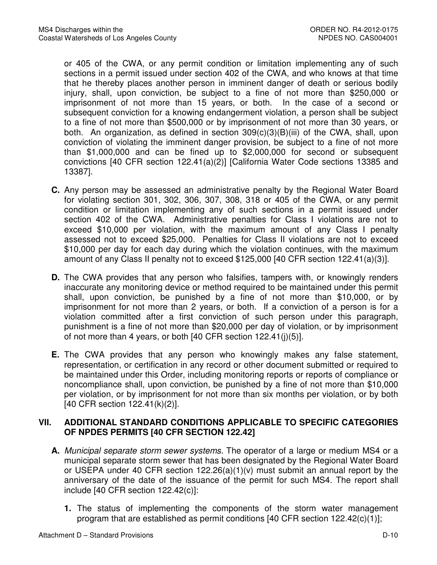or 405 of the CWA, or any permit condition or limitation implementing any of such sections in a permit issued under section 402 of the CWA, and who knows at that time that he thereby places another person in imminent danger of death or serious bodily injury, shall, upon conviction, be subject to a fine of not more than \$250,000 or imprisonment of not more than 15 years, or both. In the case of a second or subsequent conviction for a knowing endangerment violation, a person shall be subject to a fine of not more than \$500,000 or by imprisonment of not more than 30 years, or both. An organization, as defined in section 309(c)(3)(B)(iii) of the CWA, shall, upon conviction of violating the imminent danger provision, be subject to a fine of not more than \$1,000,000 and can be fined up to \$2,000,000 for second or subsequent convictions [40 CFR section 122.41(a)(2)] [California Water Code sections 13385 and 13387].

- **C.** Any person may be assessed an administrative penalty by the Regional Water Board for violating section 301, 302, 306, 307, 308, 318 or 405 of the CWA, or any permit condition or limitation implementing any of such sections in a permit issued under section 402 of the CWA. Administrative penalties for Class I violations are not to exceed \$10,000 per violation, with the maximum amount of any Class I penalty assessed not to exceed \$25,000. Penalties for Class II violations are not to exceed \$10,000 per day for each day during which the violation continues, with the maximum amount of any Class II penalty not to exceed \$125,000 [40 CFR section 122.41(a)(3)].
- **D.** The CWA provides that any person who falsifies, tampers with, or knowingly renders inaccurate any monitoring device or method required to be maintained under this permit shall, upon conviction, be punished by a fine of not more than \$10,000, or by imprisonment for not more than 2 years, or both. If a conviction of a person is for a violation committed after a first conviction of such person under this paragraph, punishment is a fine of not more than \$20,000 per day of violation, or by imprisonment of not more than 4 years, or both [40 CFR section 122.41(j)(5)].
- **E.** The CWA provides that any person who knowingly makes any false statement, representation, or certification in any record or other document submitted or required to be maintained under this Order, including monitoring reports or reports of compliance or noncompliance shall, upon conviction, be punished by a fine of not more than \$10,000 per violation, or by imprisonment for not more than six months per violation, or by both [40 CFR section 122.41(k)(2)].

## **VII. ADDITIONAL STANDARD CONDITIONS APPLICABLE TO SPECIFIC CATEGORIES OF NPDES PERMITS [40 CFR SECTION 122.42]**

- **A.** Municipal separate storm sewer systems. The operator of a large or medium MS4 or a municipal separate storm sewer that has been designated by the Regional Water Board or USEPA under 40 CFR section 122.26(a)(1)(v) must submit an annual report by the anniversary of the date of the issuance of the permit for such MS4. The report shall include [40 CFR section 122.42(c)]:
	- **1.** The status of implementing the components of the storm water management program that are established as permit conditions [40 CFR section 122.42(c)(1)];